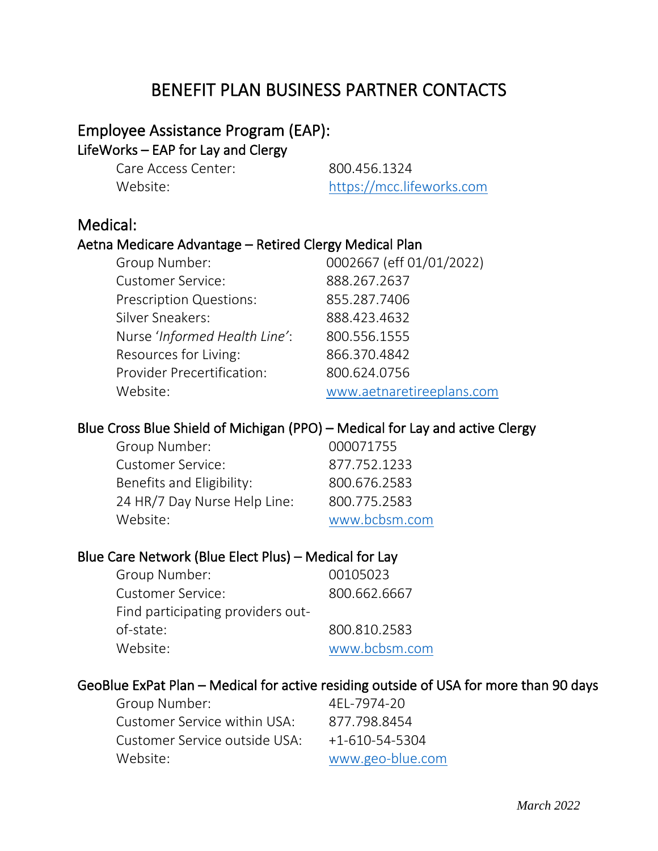# BENEFIT PLAN BUSINESS PARTNER CONTACTS

## Employee Assistance Program (EAP): LifeWorks – EAP for Lay and Clergy

Care Access Center: 800.456.1324

Website: [https://mcc.lifeworks.com](https://mcc.lifeworks.com/)

## Medical:

#### Aetna Medicare Advantage – Retired Clergy Medical Plan

| Group Number:                     | 0002667 (eff 01/01/2022)  |
|-----------------------------------|---------------------------|
| <b>Customer Service:</b>          | 888.267.2637              |
| <b>Prescription Questions:</b>    | 855.287.7406              |
| Silver Sneakers:                  | 888.423.4632              |
| Nurse 'Informed Health Line':     | 800.556.1555              |
| Resources for Living:             | 866.370.4842              |
| <b>Provider Precertification:</b> | 800.624.0756              |
| Website:                          | www.aetnaretireeplans.com |

## Blue Cross Blue Shield of Michigan (PPO) – Medical for Lay and active Clergy

| Group Number:                | 000071755     |
|------------------------------|---------------|
| <b>Customer Service:</b>     | 877.752.1233  |
| Benefits and Eligibility:    | 800.676.2583  |
| 24 HR/7 Day Nurse Help Line: | 800.775.2583  |
| Website:                     | www.bcbsm.com |

#### Blue Care Network (Blue Elect Plus) – Medical for Lay

| Group Number:                     | 00105023      |
|-----------------------------------|---------------|
| <b>Customer Service:</b>          | 800.662.6667  |
| Find participating providers out- |               |
| of-state:                         | 800.810.2583  |
| Website:                          | www.bcbsm.com |

#### GeoBlue ExPat Plan – Medical for active residing outside of USA for more than 90 days

| Group Number:                 | 4EL-7974-20            |
|-------------------------------|------------------------|
| Customer Service within USA:  | 877.798.8454           |
| Customer Service outside USA: | $+1 - 610 - 54 - 5304$ |
| Website:                      | www.geo-blue.com       |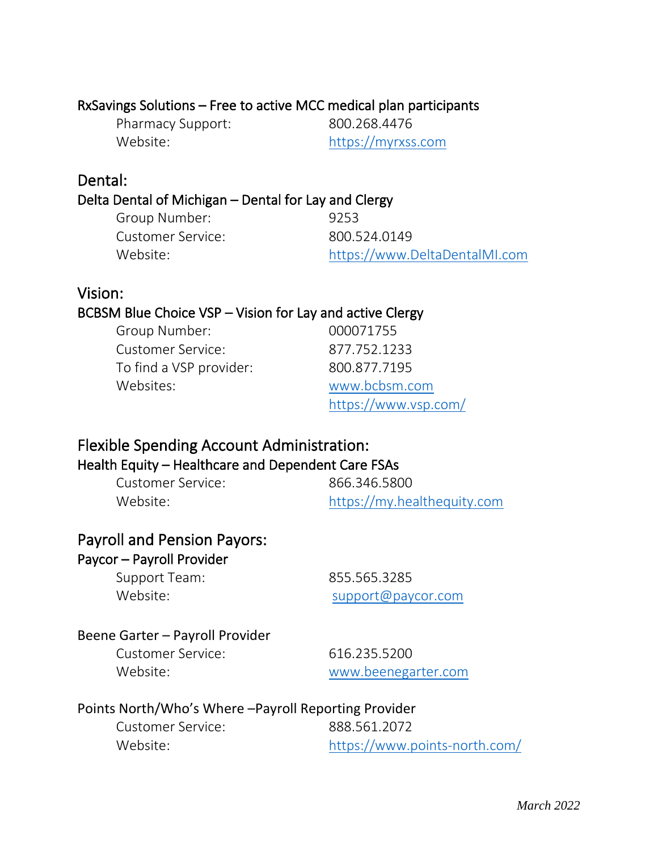# RxSavings Solutions – Free to active MCC medical plan participants<br>Pharmacy Support: 800.268.4476

Pharmacy Support:

Website: [https://myrxss.com](https://myrxss.com/)

## Dental:

# Delta Dental of Michigan – Dental for Lay and Clergy

| Group Number:     | 9253                          |
|-------------------|-------------------------------|
| Customer Service: | 800.524.0149                  |
| Website:          | https://www.DeltaDentalMI.com |
|                   |                               |

## Vision:

## BCBSM Blue Choice VSP – Vision for Lay and active Clergy

| Group Number:            | 000071755            |
|--------------------------|----------------------|
| <b>Customer Service:</b> | 877.752.1233         |
| To find a VSP provider:  | 800.877.7195         |
| Websites:                | www.bcbsm.com        |
|                          | https://www.vsp.com/ |

# Flexible Spending Account Administration:

# Health Equity – Healthcare and Dependent Care FSAs

| Customer Service: | 866.346.5800                |
|-------------------|-----------------------------|
| Website:          | https://my.healthequity.com |

# Payroll and Pension Payors:

## Paycor – Payroll Provider

Support Team: 855.565.3285

Website: where the support of the support of the support of the support of the support of the support of the support of the support of the support of the support of the support of the support of the support of the support

## Beene Garter – Payroll Provider

Customer Service: 616.235.5200

Website: [www.beenegarter.com](http://www.beenegarter.com/)

## Points North/Who's Where –Payroll Reporting Provider

| Customer Service: | 888.561.2072                  |
|-------------------|-------------------------------|
| Website:          | https://www.points-north.com/ |